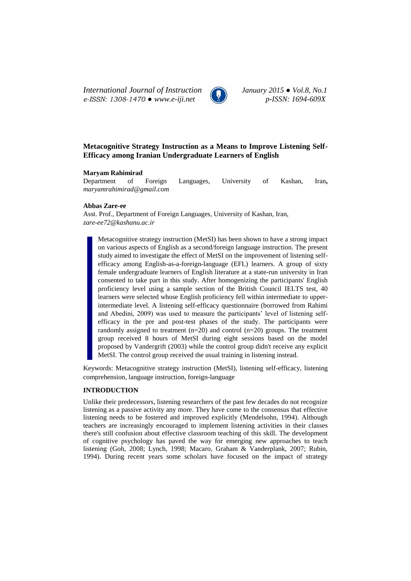*International Journal of Instruction January 2015 ● Vol.8, No.1 e-ISSN: 1308-1470 ● www.e-iji.net p-ISSN: 1694-609X*



# **Metacognitive Strategy Instruction as a Means to Improve Listening Self-Efficacy among Iranian Undergraduate Learners of English**

### **Maryam Rahimirad**

Department of Foreign Languages, University of Kashan, Iran**,**  *[maryamrahimirad@gmail.com](mailto:maryamrahimirad@gmail.com)*

### **Abbas Zare-ee**

Asst. Prof., Department of Foreign Languages, University of Kashan, Iran, *zare-ee72@kashanu.ac.ir*

Metacognitive strategy instruction (MetSI) has been shown to have a strong impact on various aspects of English as a second/foreign language instruction. The present study aimed to investigate the effect of MetSI on the improvement of listening selfefficacy among English-as-a-foreign-language (EFL) learners. A group of sixty female undergraduate learners of English literature at a state-run university in Iran consented to take part in this study. After homogenizing the participants' English proficiency level using a sample section of the British Council IELTS test, 40 learners were selected whose English proficiency fell within intermediate to upperintermediate level. A listening self-efficacy questionnaire (borrowed from Rahimi and Abedini, 2009) was used to measure the participants' level of listening selfefficacy in the pre and post-test phases of the study. The participants were randomly assigned to treatment  $(n=20)$  and control  $(n=20)$  groups. The treatment group received 8 hours of MetSI during eight sessions based on the model proposed by Vandergrift (2003) while the control group didn't receive any explicit MetSI. The control group received the usual training in listening instead.

Keywords: Metacognitive strategy instruction (MetSI), listening self-efficacy, listening comprehension, language instruction, foreign-language

## **INTRODUCTION**

Unlike their predecessors, listening researchers of the past few decades do not recognize listening as a passive activity any more. They have come to the consensus that effective listening needs to be fostered and improved explicitly (Mendelsohn, 1994). Although teachers are increasingly encouraged to implement listening activities in their classes there's still confusion about effective classroom teaching of this skill. The development of cognitive psychology has paved the way for emerging new approaches to teach listening (Goh, 2008; Lynch, 1998; Macaro, Graham & Vanderplank, 2007; Rubin, 1994). During recent years some scholars have focused on the impact of strategy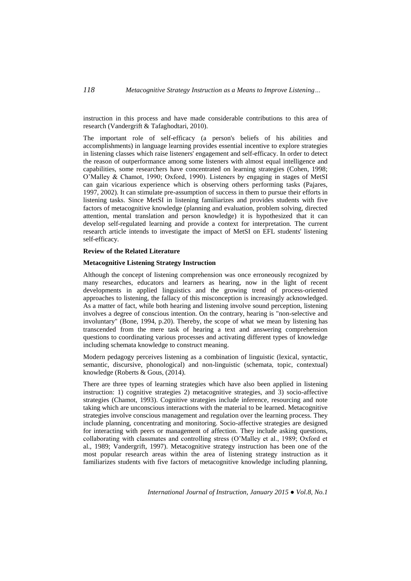instruction in this process and have made considerable contributions to this area of research (Vandergrift & Tafaghodtari, 2010).

The important role of self-efficacy (a person's beliefs of his abilities and accomplishments) in language learning provides essential incentive to explore strategies in listening classes which raise listeners' engagement and self-efficacy. In order to detect the reason of outperformance among some listeners with almost equal intelligence and capabilities, some researchers have concentrated on learning strategies (Cohen, 1998; O'Malley & Chamot, 1990; Oxford, 1990). Listeners by engaging in stages of MetSI can gain vicarious experience which is observing others performing tasks (Pajares, 1997, 2002). It can stimulate pre-assumption of success in them to pursue their efforts in listening tasks. Since MetSI in listening familiarizes and provides students with five factors of metacognitive knowledge (planning and evaluation, problem solving, directed attention, mental translation and person knowledge) it is hypothesized that it can develop self-regulated learning and provide a context for interpretation. The current research article intends to investigate the impact of MetSI on EFL students' listening self-efficacy.

#### **Review of the Related Literature**

### **Metacognitive Listening Strategy Instruction**

Although the concept of listening comprehension was once erroneously recognized by many researches, educators and learners as hearing, now in the light of recent developments in applied linguistics and the growing trend of process-oriented approaches to listening, the fallacy of this misconception is increasingly acknowledged. As a matter of fact, while both hearing and listening involve sound perception, listening involves a degree of conscious intention. On the contrary, hearing is "non-selective and involuntary" (Bone, 1994, p.20). Thereby, the scope of what we mean by listening has transcended from the mere task of hearing a text and answering comprehension questions to coordinating various processes and activating different types of knowledge including schemata knowledge to construct meaning.

Modern pedagogy perceives listening as a combination of linguistic (lexical, syntactic, semantic, discursive, phonological) and non-linguistic (schemata, topic, contextual) knowledge (Roberts & Gous, (2014).

There are three types of learning strategies which have also been applied in listening instruction: 1) cognitive strategies 2) metacognitive strategies, and 3) socio-affective strategies (Chamot, 1993). Cognitive strategies include inference, resourcing and note taking which are unconscious interactions with the material to be learned. Metacognitive strategies involve conscious management and regulation over the learning process. They include planning, concentrating and monitoring. Socio-affective strategies are designed for interacting with peers or management of affection. They include asking questions, collaborating with classmates and controlling stress (O'Malley et al., 1989; Oxford et al., 1989; Vandergrift, 1997). Metacognitive strategy instruction has been one of the most popular research areas within the area of listening strategy instruction as it familiarizes students with five factors of metacognitive knowledge including planning,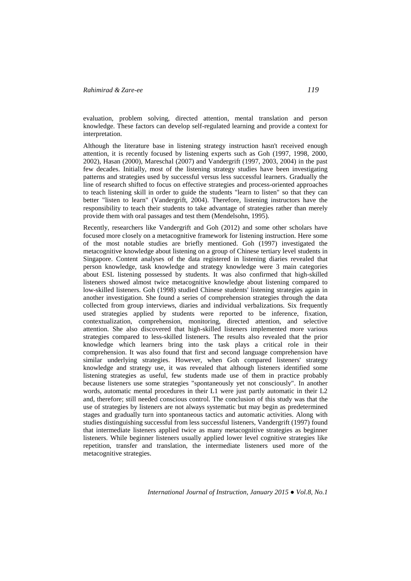evaluation, problem solving, directed attention, mental translation and person knowledge. These factors can develop self-regulated learning and provide a context for interpretation.

Although the literature base in listening strategy instruction hasn't received enough attention, it is recently focused by listening experts such as Goh (1997, 1998, 2000, 2002), Hasan (2000), Mareschal (2007) and Vandergrift (1997, 2003, 2004) in the past few decades. Initially, most of the listening strategy studies have been investigating patterns and strategies used by successful versus less successful learners. Gradually the line of research shifted to focus on effective strategies and process-oriented approaches to teach listening skill in order to guide the students "learn to listen" so that they can better "listen to learn" (Vandergrift, 2004). Therefore, listening instructors have the responsibility to teach their students to take advantage of strategies rather than merely provide them with oral passages and test them (Mendelsohn, 1995).

Recently, researchers like Vandergrift and Goh (2012) and some other scholars have focused more closely on a metacognitive framework for listening instruction. Here some of the most notable studies are briefly mentioned. Goh (1997) investigated the metacognitive knowledge about listening on a group of Chinese tertiary level students in Singapore. Content analyses of the data registered in listening diaries revealed that person knowledge, task knowledge and strategy knowledge were 3 main categories about ESL listening possessed by students. It was also confirmed that high-skilled listeners showed almost twice metacognitive knowledge about listening compared to low-skilled listeners. Goh (1998) studied Chinese students' listening strategies again in another investigation. She found a series of comprehension strategies through the data collected from group interviews, diaries and individual verbalizations. Six frequently used strategies applied by students were reported to be inference, fixation, contextualization, comprehension, monitoring, directed attention, and selective attention. She also discovered that high-skilled listeners implemented more various strategies compared to less-skilled listeners. The results also revealed that the prior knowledge which learners bring into the task plays a critical role in their comprehension. It was also found that first and second language comprehension have similar underlying strategies. However, when Goh compared listeners' strategy knowledge and strategy use, it was revealed that although listeners identified some listening strategies as useful, few students made use of them in practice probably because listeners use some strategies "spontaneously yet not consciously". In another words, automatic mental procedures in their L1 were just partly automatic in their L2 and, therefore; still needed conscious control. The conclusion of this study was that the use of strategies by listeners are not always systematic but may begin as predetermined stages and gradually turn into spontaneous tactics and automatic activities. Along with studies distinguishing successful from less successful listeners, Vandergrift (1997) found that intermediate listeners applied twice as many metacognitive strategies as beginner listeners. While beginner listeners usually applied lower level cognitive strategies like repetition, transfer and translation, the intermediate listeners used more of the metacognitive strategies.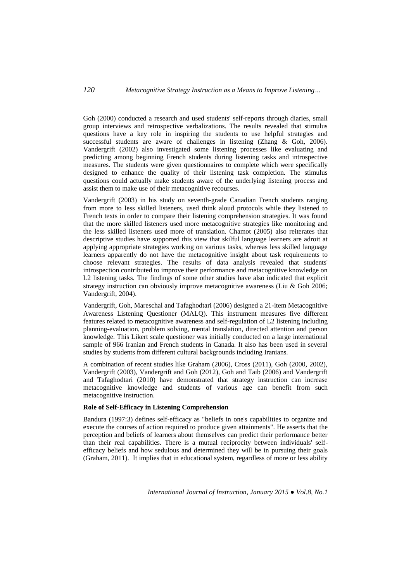Goh (2000) conducted a research and used students' self-reports through diaries, small group interviews and retrospective verbalizations. The results revealed that stimulus questions have a key role in inspiring the students to use helpful strategies and successful students are aware of challenges in listening (Zhang & Goh, 2006). Vandergrift (2002) also investigated some listening processes like evaluating and predicting among beginning French students during listening tasks and introspective measures. The students were given questionnaires to complete which were specifically designed to enhance the quality of their listening task completion. The stimulus questions could actually make students aware of the underlying listening process and assist them to make use of their metacognitive recourses.

Vandergrift (2003) in his study on seventh-grade Canadian French students ranging from more to less skilled listeners, used think aloud protocols while they listened to French texts in order to compare their listening comprehension strategies. It was found that the more skilled listeners used more metacognitive strategies like monitoring and the less skilled listeners used more of translation. Chamot (2005) also reiterates that descriptive studies have supported this view that skilful language learners are adroit at applying appropriate strategies working on various tasks, whereas less skilled language learners apparently do not have the metacognitive insight about task requirements to choose relevant strategies. The results of data analysis revealed that students' introspection contributed to improve their performance and metacognitive knowledge on L2 listening tasks. The findings of some other studies have also indicated that explicit strategy instruction can obviously improve metacognitive awareness (Liu & Goh 2006; Vandergrift, 2004).

Vandergrift, Goh, Mareschal and Tafaghodtari (2006) designed a 21-item Metacognitive Awareness Listening Questioner (MALQ). This instrument measures five different features related to metacognitive awareness and self-regulation of L2 listening including planning-evaluation, problem solving, mental translation, directed attention and person knowledge. This Likert scale questioner was initially conducted on a large international sample of 966 Iranian and French students in Canada. It also has been used in several studies by students from different cultural backgrounds including Iranians.

A combination of recent studies like Graham (2006), Cross (2011), Goh (2000, 2002), Vandergrift (2003), Vandergrift and Goh (2012), Goh and Taib (2006) and Vandergrift and Tafaghodtari (2010) have demonstrated that strategy instruction can increase metacognitive knowledge and students of various age can benefit from such metacognitive instruction.

# **Role of Self-Efficacy in Listening Comprehension**

Bandura (1997:3) defines self-efficacy as "beliefs in one's capabilities to organize and execute the courses of action required to produce given attainments". He asserts that the perception and beliefs of learners about themselves can predict their performance better than their real capabilities. There is a mutual reciprocity between individuals' selfefficacy beliefs and how sedulous and determined they will be in pursuing their goals (Graham, 2011). It implies that in educational system, regardless of more or less ability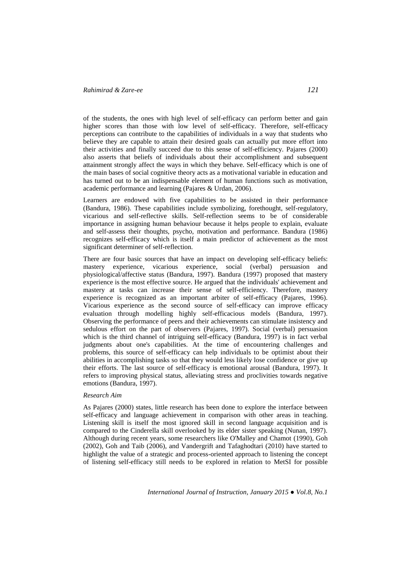of the students, the ones with high level of self-efficacy can perform better and gain higher scores than those with low level of self-efficacy. Therefore, self-efficacy perceptions can contribute to the capabilities of individuals in a way that students who believe they are capable to attain their desired goals can actually put more effort into their activities and finally succeed due to this sense of self-efficiency. Pajares (2000) also asserts that beliefs of individuals about their accomplishment and subsequent attainment strongly affect the ways in which they behave. Self-efficacy which is one of the main bases of social cognitive theory acts as a motivational variable in education and has turned out to be an indispensable element of human functions such as motivation, academic performance and learning (Pajares & Urdan, 2006).

Learners are endowed with five capabilities to be assisted in their performance (Bandura, 1986). These capabilities include symbolizing, forethought, self-regulatory, vicarious and self-reflective skills. Self-reflection seems to be of considerable importance in assigning human behaviour because it helps people to explain, evaluate and self-assess their thoughts, psycho, motivation and performance. Bandura (1986) recognizes self-efficacy which is itself a main predictor of achievement as the most significant determiner of self-reflection.

There are four basic sources that have an impact on developing self-efficacy beliefs: mastery experience, vicarious experience, social (verbal) persuasion and physiological/affective status (Bandura, 1997). Bandura (1997) proposed that mastery experience is the most effective source. He argued that the individuals' achievement and mastery at tasks can increase their sense of self-efficiency. Therefore, mastery experience is recognized as an important arbiter of self-efficacy (Pajares, 1996). Vicarious experience as the second source of self-efficacy can improve efficacy evaluation through modelling highly self-efficacious models (Bandura, 1997). Observing the performance of peers and their achievements can stimulate insistency and sedulous effort on the part of observers (Pajares, 1997). Social (verbal) persuasion which is the third channel of intriguing self-efficacy (Bandura, 1997) is in fact verbal judgments about one's capabilities. At the time of encountering challenges and problems, this source of self-efficacy can help individuals to be optimist about their abilities in accomplishing tasks so that they would less likely lose confidence or give up their efforts. The last source of self-efficacy is emotional arousal (Bandura, 1997). It refers to improving physical status, alleviating stress and proclivities towards negative emotions (Bandura, 1997).

## *Research Aim*

As Pajares (2000) states, little research has been done to explore the interface between self-efficacy and language achievement in comparison with other areas in teaching. Listening skill is itself the most ignored skill in second language acquisition and is compared to the Cinderella skill overlooked by its elder sister speaking (Nunan, 1997). Although during recent years, some researchers like O'Malley and Chamot (1990), Goh (2002), Goh and Taib (2006), and Vandergrift and Tafaghodtari (2010) have started to highlight the value of a strategic and process-oriented approach to listening the concept of listening self-efficacy still needs to be explored in relation to MetSI for possible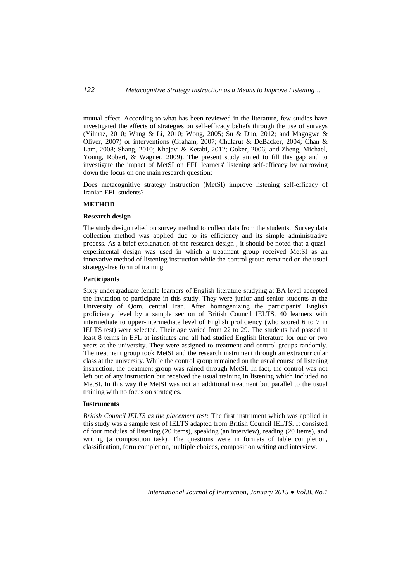mutual effect. According to what has been reviewed in the literature, few studies have investigated the effects of strategies on self-efficacy beliefs through the use of surveys (Yilmaz, 2010; Wang & Li, 2010; Wong, 2005; Su & Duo, 2012; and Magogwe & Oliver, 2007) or interventions (Graham, 2007; Chularut & DeBacker, 2004; Chan & Lam, 2008; Shang, 2010; Khajavi & Ketabi, 2012; Goker, 2006; and Zheng, Michael, Young, Robert, & Wagner, 2009). The present study aimed to fill this gap and to investigate the impact of MetSI on EFL learners' listening self-efficacy by narrowing down the focus on one main research question:

Does metacognitive strategy instruction (MetSI) improve listening self-efficacy of Iranian EFL students?

#### **METHOD**

### **Research design**

The study design relied on survey method to collect data from the students. Survey data collection method was applied due to its efficiency and its simple administrative process. As a brief explanation of the research design , it should be noted that a quasiexperimental design was used in which a treatment group received MetSI as an innovative method of listening instruction while the control group remained on the usual strategy-free form of training.

### **Participants**

Sixty undergraduate female learners of English literature studying at BA level accepted the invitation to participate in this study. They were junior and senior students at the University of Qom, central Iran. After homogenizing the participants' English proficiency level by a sample section of British Council IELTS, 40 learners with intermediate to upper-intermediate level of English proficiency (who scored 6 to 7 in IELTS test) were selected. Their age varied from 22 to 29. The students had passed at least 8 terms in EFL at institutes and all had studied English literature for one or two years at the university. They were assigned to treatment and control groups randomly. The treatment group took MetSI and the research instrument through an extracurricular class at the university. While the control group remained on the usual course of listening instruction, the treatment group was rained through MetSI. In fact, the control was not left out of any instruction but received the usual training in listening which included no MetSI. In this way the MetSI was not an additional treatment but parallel to the usual training with no focus on strategies.

#### **Instruments**

*British Council IELTS as the placement test:* The first instrument which was applied in this study was a sample test of IELTS adapted from British Council IELTS. It consisted of four modules of listening (20 items), speaking (an interview), reading (20 items), and writing (a composition task). The questions were in formats of table completion, classification, form completion, multiple choices, composition writing and interview.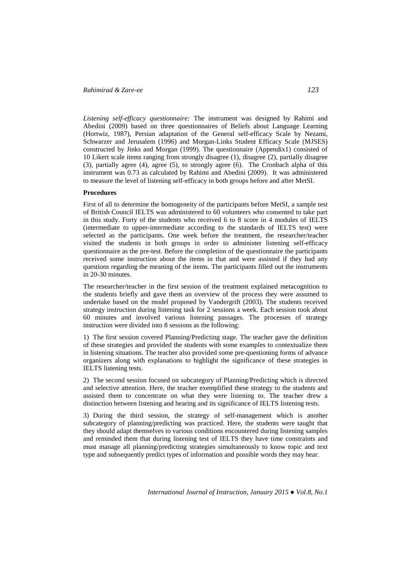*Listening self-efficacy questionnaire:* The instrument was designed by Rahimi and Abedini (2009) based on three questionnaires of Beliefs about Language Learning (Hortwiz, 1987), Persian adaptation of the General self-efficacy Scale by Nezami, Schwarzer and Jerusalem (1996) and Morgan-Links Student Efficacy Scale (MJSES) constructed by Jinks and Morgan (1999). The questionnaire (Appendix1) consisted of 10 Likert scale items ranging from strongly disagree (1), disagree (2), partially disagree (3), partially agree (4), agree (5), to strongly agree (6). The Cronbach alpha of this instrument was 0.73 as calculated by Rahimi and Abedini (2009). It was administered to measure the level of listening self-efficacy in both groups before and after MetSI.

### **Procedures**

First of all to determine the homogeneity of the participants before MetSI, a sample test of British Council IELTS was administered to 60 volunteers who consented to take part in this study. Forty of the students who received 6 to 8 score in 4 modules of IELTS (intermediate to upper-intermediate according to the standards of IELTS test) were selected as the participants. One week before the treatment, the researcher/teacher visited the students in both groups in order to administer listening self-efficacy questionnaire as the pre-test. Before the completion of the questionnaire the participants received some instruction about the items in that and were assisted if they had any questions regarding the meaning of the items. The participants filled out the instruments in 20-30 minutes.

The researcher/teacher in the first session of the treatment explained metacognition to the students briefly and gave them an overview of the process they were assumed to undertake based on the model proposed by Vandergrift (2003). The students received strategy instruction during listening task for 2 sessions a week. Each session took about 60 minutes and involved various listening passages. The processes of strategy instruction were divided into 8 sessions as the following:

1) The first session covered Planning/Predicting stage. The teacher gave the definition of these strategies and provided the students with some examples to contextualize them in listening situations. The teacher also provided some pre-questioning forms of advance organizers along with explanations to highlight the significance of these strategies in IELTS listening tests.

2) The second session focused on subcategory of Planning/Predicting which is directed and selective attention. Here, the teacher exemplified these strategy to the students and assisted them to concentrate on what they were listening to. The teacher drew a distinction between listening and hearing and its significance of IELTS listening tests.

3) During the third session, the strategy of self-management which is another subcategory of planning/predicting was practiced. Here, the students were taught that they should adapt themselves to various conditions encountered during listening samples and reminded them that during listening test of IELTS they have time constraints and must manage all planning/predicting strategies simultaneously to know topic and text type and subsequently predict types of information and possible words they may hear.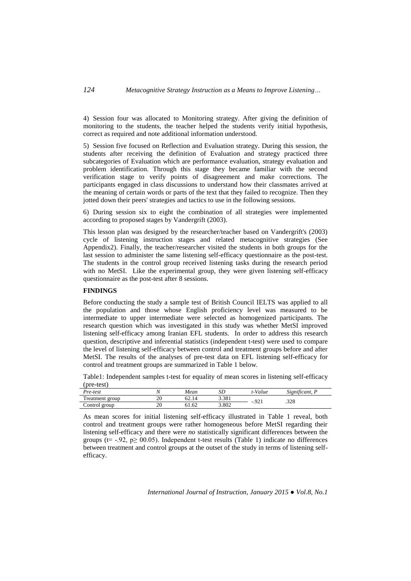4) Session four was allocated to Monitoring strategy. After giving the definition of monitoring to the students, the teacher helped the students verify initial hypothesis, correct as required and note additional information understood.

5) Session five focused on Reflection and Evaluation strategy. During this session, the students after receiving the definition of Evaluation and strategy practiced three subcategories of Evaluation which are performance evaluation, strategy evaluation and problem identification. Through this stage they became familiar with the second verification stage to verify points of disagreement and make corrections. The participants engaged in class discussions to understand how their classmates arrived at the meaning of certain words or parts of the text that they failed to recognize. Then they jotted down their peers' strategies and tactics to use in the following sessions.

6) During session six to eight the combination of all strategies were implemented according to proposed stages by Vandergrift (2003).

This lesson plan was designed by the researcher/teacher based on Vandergrift's (2003) cycle of listening instruction stages and related metacognitive strategies (See Appendix2). Finally, the teacher/researcher visited the students in both groups for the last session to administer the same listening self-efficacy questionnaire as the post-test. The students in the control group received listening tasks during the research period with no MetSI. Like the experimental group, they were given listening self-efficacy questionnaire as the post-test after 8 sessions.

## **FINDINGS**

Before conducting the study a sample test of British Council IELTS was applied to all the population and those whose English proficiency level was measured to be intermediate to upper intermediate were selected as homogenized participants. The research question which was investigated in this study was whether MetSI improved listening self-efficacy among Iranian EFL students. In order to address this research question, descriptive and inferential statistics (independent t-test) were used to compare the level of listening self-efficacy between control and treatment groups before and after MetSI. The results of the analyses of pre-test data on EFL listening self-efficacy for control and treatment groups are summarized in Table 1 below.

Table1: Independent samples t-test for equality of mean scores in listening self-efficacy (pre-test)

| Pre-test          |    | Mean  | SD    | t-Value | $\cdot$ $\sim$<br><b></b><br>Significant, I |
|-------------------|----|-------|-------|---------|---------------------------------------------|
| reatment<br>group | ∠∪ |       | 3.381 | $-921$  | 220<br>020.                                 |
| Control<br>group  | ۷U | 51.62 | 3.802 |         |                                             |

As mean scores for initial listening self-efficacy illustrated in Table 1 reveal, both control and treatment groups were rather homogeneous before MetSI regarding their listening self-efficacy and there were *no* statistically significant differences between the groups (t=  $-.92$ , p $\geq 00.05$ ). Independent t-test results (Table 1) indicate no differences between treatment and control groups at the outset of the study in terms of listening selfefficacy.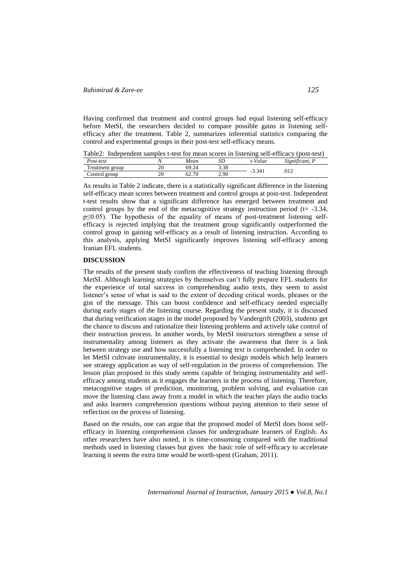Having confirmed that treatment and control groups had equal listening self-efficacy before MetSI, the researchers decided to compare possible gains in listening selfefficacy after the treatment. Table 2, summarizes inferential statistics comparing the control and experimental groups in their post-test self-efficacy means.

Table2: Independent samples t-test for mean scores in listening self-efficacy (post-test)

| Post-test                    |                      | Mean                                  | ىرى               | T<br>t-Value | $\sim$ $\sim$<br>$\sim$<br>Significant. 1 |
|------------------------------|----------------------|---------------------------------------|-------------------|--------------|-------------------------------------------|
| $\sim$<br>Treatment<br>group | $\overline{c}$<br>∠∪ | 69<br>.2 <sup>4</sup>                 | 2.29<br><u> o</u> | 3.341<br>- 7 | 012<br>.v.                                |
| Control<br>group             | ٦C<br>∠∪             | 70<br>$\widehat{\phantom{a}}$<br>02., | 2.90              |              |                                           |

As results in Table 2 indicate, there is a statistically significant difference in the listening self-efficacy mean scores between treatment and control groups at post-test. Independent t-test results show that a significant difference has emerged between treatment and control groups by the end of the metacognitive strategy instruction period ( $t = -3.34$ , p≤0.05). The hypothesis of the equality of means of post-treatment listening selfefficacy is rejected implying that the treatment group significantly outperformed the control group in gaining self-efficacy as a result of listening instruction. According to this analysis, applying MetSI significantly improves listening self-efficacy among Iranian EFL students.

## **DISCUSSION**

The results of the present study confirm the effectiveness of teaching listening through MetSI. Although learning strategies by themselves can't fully prepare EFL students for the experience of total success in comprehending audio texts, they seem to assist listener's sense of what is said to the extent of decoding critical words, phrases or the gist of the message. This can boost confidence and self-efficacy needed especially during early stages of the listening course. Regarding the present study, it is discussed that during verification stages in the model proposed by Vandergrift (2003), students get the chance to discuss and rationalize their listening problems and actively take control of their instruction process. In another words, by MetSI instructors strengthen a sense of instrumentality among listeners as they activate the awareness that there is a link between strategy use and how successfully a listening text is comprehended. In order to let MetSI cultivate instrumentality, it is essential to design models which help learners see strategy application as way of self-regulation in the process of comprehension. The lesson plan proposed in this study seems capable of bringing instrumentality and selfefficacy among students as it engages the learners in the process of listening. Therefore, metacognitive stages of prediction, monitoring, problem solving, and evaluation can move the listening class away from a model in which the teacher plays the audio tracks and asks learners comprehension questions without paying attention to their sense of reflection on the process of listening.

Based on the results, one can argue that the proposed model of MetSI does boost selfefficacy in listening comprehension classes for undergraduate learners of English. As other researchers have also noted, it is time-consuming compared with the traditional methods used in listening classes but given the basic role of self-efficacy to accelerate learning it seems the extra time would be worth-spent (Graham, 2011).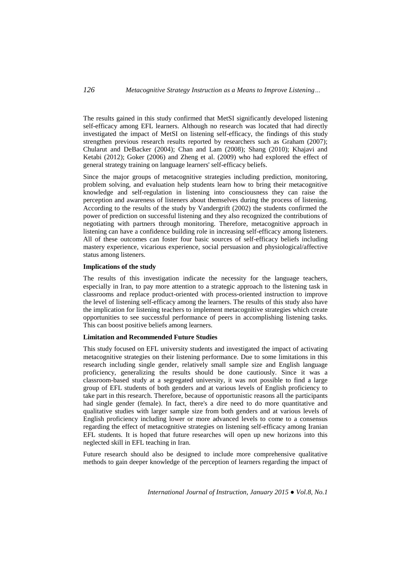The results gained in this study confirmed that MetSI significantly developed listening self-efficacy among EFL learners. Although no research was located that had directly investigated the impact of MetSI on listening self-efficacy, the findings of this study strengthen previous research results reported by researchers such as Graham (2007); Chularut and DeBacker (2004); Chan and Lam (2008); Shang (2010); Khajavi and Ketabi (2012); Goker (2006) and Zheng et al. (2009) who had explored the effect of general strategy training on language learners' self-efficacy beliefs.

Since the major groups of metacognitive strategies including prediction, monitoring, problem solving, and evaluation help students learn how to bring their metacognitive knowledge and self-regulation in listening into consciousness they can raise the perception and awareness of listeners about themselves during the process of listening. According to the results of the study by Vandergrift (2002) the students confirmed the power of prediction on successful listening and they also recognized the contributions of negotiating with partners through monitoring. Therefore, metacognitive approach in listening can have a confidence building role in increasing self-efficacy among listeners. All of these outcomes can foster four basic sources of self-efficacy beliefs including mastery experience, vicarious experience, social persuasion and physiological/affective status among listeners.

### **Implications of the study**

The results of this investigation indicate the necessity for the language teachers, especially in Iran, to pay more attention to a strategic approach to the listening task in classrooms and replace product-oriented with process-oriented instruction to improve the level of listening self-efficacy among the learners. The results of this study also have the implication for listening teachers to implement metacognitive strategies which create opportunities to see successful performance of peers in accomplishing listening tasks. This can boost positive beliefs among learners.

## **Limitation and Recommended Future Studies**

This study focused on EFL university students and investigated the impact of activating metacognitive strategies on their listening performance. Due to some limitations in this research including single gender, relatively small sample size and English language proficiency, generalizing the results should be done cautiously. Since it was a classroom-based study at a segregated university, it was not possible to find a large group of EFL students of both genders and at various levels of English proficiency to take part in this research. Therefore, because of opportunistic reasons all the participants had single gender (female). In fact, there's a dire need to do more quantitative and qualitative studies with larger sample size from both genders and at various levels of English proficiency including lower or more advanced levels to come to a consensus regarding the effect of metacognitive strategies on listening self-efficacy among Iranian EFL students. It is hoped that future researches will open up new horizons into this neglected skill in EFL teaching in Iran.

Future research should also be designed to include more comprehensive qualitative methods to gain deeper knowledge of the perception of learners regarding the impact of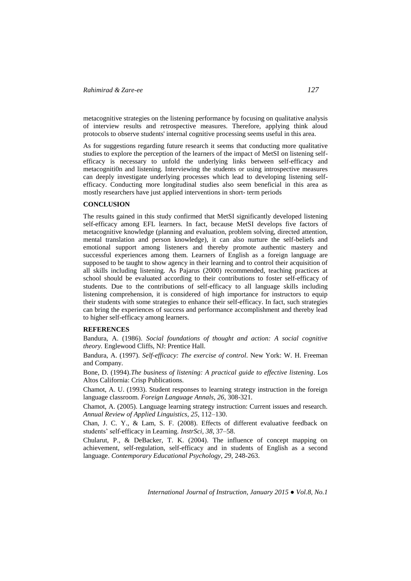metacognitive strategies on the listening performance by focusing on qualitative analysis of interview results and retrospective measures. Therefore, applying think aloud protocols to observe students' internal cognitive processing seems useful in this area.

As for suggestions regarding future research it seems that conducting more qualitative studies to explore the perception of the learners of the impact of MetSI on listening selfefficacy is necessary to unfold the underlying links between self-efficacy and metacogniti0n and listening. Interviewing the students or using introspective measures can deeply investigate underlying processes which lead to developing listening selfefficacy. Conducting more longitudinal studies also seem beneficial in this area as mostly researchers have just applied interventions in short- term periods

### **CONCLUSION**

The results gained in this study confirmed that MetSI significantly developed listening self-efficacy among EFL learners. In fact, because MetSI develops five factors of metacognitive knowledge (planning and evaluation, problem solving, directed attention, mental translation and person knowledge), it can also nurture the self-beliefs and emotional support among listeners and thereby promote authentic mastery and successful experiences among them. Learners of English as a foreign language are supposed to be taught to show agency in their learning and to control their acquisition of all skills including listening. As Pajarus (2000) recommended, teaching practices at school should be evaluated according to their contributions to foster self-efficacy of students. Due to the contributions of self-efficacy to all language skills including listening comprehension, it is considered of high importance for instructors to equip their students with some strategies to enhance their self-efficacy. In fact, such strategies can bring the experiences of success and performance accomplishment and thereby lead to higher self-efficacy among learners.

## **REFERENCES**

Bandura, A. (1986). *Social foundations of thought and action: A social cognitive theory.* Englewood Cliffs, NJ: Prentice Hall.

Bandura, A. (1997). *Self-efficacy: The exercise of control*. New York: W. H. Freeman and Company.

Bone, D. (1994).*The business of listening: A practical guide to effective listening*. Los Altos California: Crisp Publications.

Chamot, A. U. (1993). Student responses to learning strategy instruction in the foreign language classroom. *Foreign Language Annals*, *26*, 308-321.

Chamot, A. (2005). Language learning strategy instruction: Current issues and research. *Annual Review of Applied Linguistics*, *25*, 112–130.

Chan, J. C. Y., & Lam, S. F. (2008). Effects of different evaluative feedback on students' self-efficacy in Learning. *InstrSci, 38*, 37–58.

Chularut, P., & DeBacker, T. K. (2004). The influence of concept mapping on achievement, self-regulation, self-efficacy and in students of English as a second language. *Contemporary Educational Psychology, 29,* 248-263.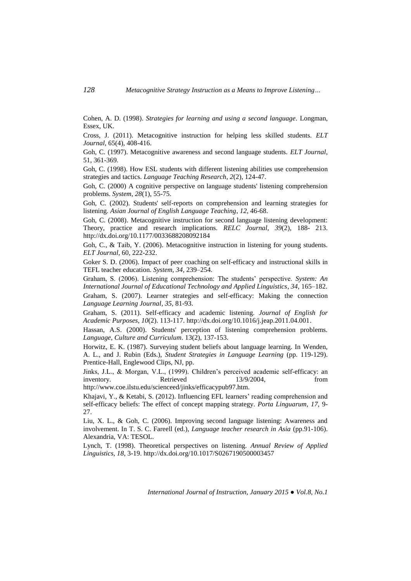Cohen, A. D. (1998). *Strategies for learning and using a second language.* Longman, Essex, UK.

Cross, J. (2011). Metacognitive instruction for helping less skilled students. *ELT Journal*, 65(4), 408-416.

Goh, C. (1997). Metacognitive awareness and second language students. *ELT Journal*, 51, 361-369.

Goh, C. (1998). How ESL students with different listening abilities use comprehension strategies and tactics. *Language Teaching Research*, *2*(2), 124-47.

Goh, C. (2000) A cognitive perspective on language students' listening comprehension problems. *System*, *28*(1), 55-75.

Goh, C. (2002). Students' self-reports on comprehension and learning strategies for listening. *Asian Journal of English Language Teaching*, *12*, 46-68.

Goh, C. (2008). Metacognitive instruction for second language listening development: Theory, practice and research implications. *RELC Journal*, *39*(2), 188- 213. <http://dx.doi.org/10.1177/0033688208092184>

Goh, C., & Taib, Y. (2006). Metacognitive instruction in listening for young students. *ELT Journal*, 60, 222-232.

Goker S. D. (2006). Impact of peer coaching on self-efficacy and instructional skills in TEFL teacher education. *System, 34,* 239–254.

Graham, S. (2006). Listening comprehension: The students' perspective. *System: An International Journal of Educational Technology and Applied Linguistics*, *34*, 165–182.

Graham, S. (2007). Learner strategies and self-efficacy: Making the connection *Language Learning Journal*, *35*, 81-93.

Graham, S. (2011). Self-efficacy and academic listening. *Journal of English for Academic Purposes, 10*(2). 113-117. [http://dx.doi.org/10.1016/j.jeap.2011.04.001.](http://dx.doi.org/10.1016/j.jeap.2011.04.001)

Hassan, A.S. (2000). Students' perception of listening comprehension problems. *Language, Culture and Curriculum*. 13(2), 137-153.

Horwitz, E. K. (1987). Surveying student beliefs about language learning. In Wenden, A. L., and J. Rubin (Eds.), *Student Strategies in Language Learning* (pp. 119-129). Prentice-Hall, Englewood Clips, NJ, pp.

Jinks, J.L., & Morgan, V.L., (1999). Children's perceived academic self-efficacy: an inventory. Retrieved 13/9/2004, from

[http://www.coe.ilstu.edu/scienceed/jinks/efficacypub97.htm.](http://www.coe.ilstu.edu/scienceed/jinks/efficacypub97.htm)

Khajavi, Y., & Ketabi, S. (2012). Influencing EFL learners' reading comprehension and self-efficacy beliefs: The effect of concept mapping strategy. *Porta Linguarum*, *17,* 9- 27.

Liu, X. L., & Goh, C. (2006). Improving second language listening: Awareness and involvement. In T. S. C. Fareell (ed.), *Language teacher research in Asia* (pp.91-106). Alexandria, VA: TESOL.

Lynch, T. (1998). Theoretical perspectives on listening. *Annual Review of Applied Linguistics, 18*, 3-19.<http://dx.doi.org/10.1017/S0267190500003457>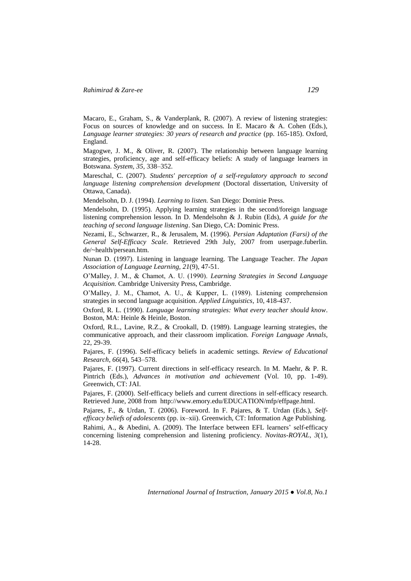Macaro, E., Graham, S., & Vanderplank, R. (2007). A review of listening strategies: Focus on sources of knowledge and on success. In E. Macaro & A. Cohen (Eds.), Language learner strategies: 30 years of research and practice (pp. 165-185). Oxford, England.

Magogwe, J. M., & Oliver, R. (2007). The relationship between language learning strategies, proficiency, age and self-efficacy beliefs: A study of language learners in Botswana. *System, 35,* 338–352.

Mareschal, C. (2007). *Students' perception of a self-regulatory approach to second language listening comprehension development* (Doctoral dissertation, University of Ottawa, Canada).

Mendelsohn, D. J. (1994). *Learning to listen.* San Diego: Dominie Press.

Mendelsohn, D. (1995). Applying learning strategies in the second/foreign language listening comprehension lesson. In D. Mendelsohn & J. Rubin (Eds), *A guide for the teaching of second language listening*. San Diego, CA: Dominic Press.

Nezami, E., Schwarzer, R., & Jerusalem, M. (1996). *Persian Adaptation (Farsi) of the General Self-Efficacy Scale.* Retrieved 29th July, 2007 from userpage.fuberlin. de/~health/persean.htm.

Nunan D. (1997). Listening in language learning. The Language Teacher. *The Japan Association of Language Learning, 21*(9), 47-51.

O'Malley, J. M., & Chamot, A. U. (1990). *Learning Strategies in Second Language Acquisition.* Cambridge University Press, Cambridge.

O'Malley, J. M., Chamot, A. U., & Kupper, L. (1989). Listening comprehension strategies in second language acquisition. *Applied Linguistics*, 10, 418-437.

Oxford, R. L. (1990). *Language learning strategies: What every teacher should know*. Boston, MA: Heinle & Heinle, Boston.

Oxford, R.L., Lavine, R.Z., & Crookall, D. (1989). Language learning strategies, the communicative approach, and their classroom implication. *Foreign Language Annals*, 22, 29-39.

Pajares, F. (1996). Self-efficacy beliefs in academic settings. *Review of Educational Research, 66*(4), 543–578.

Pajares, F. (1997). Current directions in self-efficacy research. In M. Maehr, & P. R. Pintrich (Eds.), *Advances in motivation and achievement* (Vol. 10, pp. 1-49). Greenwich, CT: JAI.

Pajares, F. (2000). Self-efficacy beliefs and current directions in self-efficacy research. Retrieved June, 2008 from [http://www.emory.edu/EDUCATION/mfp/effpage.html.](http://www.emory.edu/EDUCATION/mfp/effpage.html)

Pajares, F., & Urdan, T. (2006). Foreword. In F. Pajares, & T. Urdan (Eds.), *Selfefficacy beliefs of adolescents* (pp. ix–xii). Greenwich, CT: Information Age Publishing.

Rahimi, A., & Abedini, A. (2009). The Interface between EFL learners' self-efficacy concerning listening comprehension and listening proficiency. *Novitas-ROYAL, 3*(1), 14-28.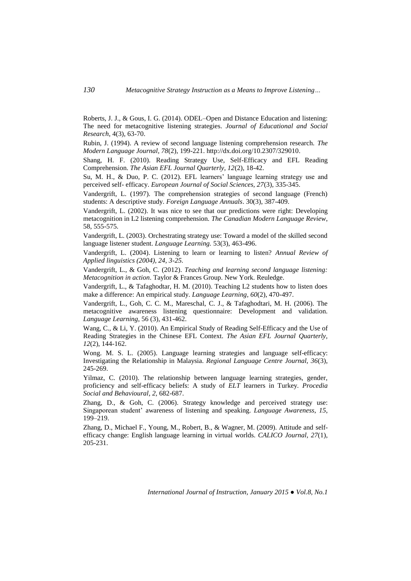Roberts, J. J., & Gous, I. G. (2014). ODEL–Open and Distance Education and listening: The need for metacognitive listening strategies. *Journal of Educational and Social Research*, 4(3), 63-70.

Rubin, J. (1994). A review of second language listening comprehension research. *The Modern Language Journal, 78*(2), 199-221. [http://dx.doi.org/10.2307/329010.](http://dx.doi.org/10.2307/329010)

Shang, H. F. (2010). Reading Strategy Use, Self-Efficacy and EFL Reading Comprehension. *The Asian EFL Journal Quarterly, 12*(2), 18-42.

Su, M. H., & Duo, P. C. (2012). EFL learners' language learning strategy use and perceived self- efficacy. *European Journal of Social Sciences, 27*(3), 335-345.

Vandergrift, L. (1997). The comprehension strategies of second language (French) students: A descriptive study. *Foreign Language Annuals*. 30(3), 387-409.

Vandergrift, L. (2002). It was nice to see that our predictions were right: Developing metacognition in L2 listening comprehension. *The Canadian Modern Language Review*, 58, 555-575.

Vandergrift, L. (2003). Orchestrating strategy use: Toward a model of the skilled second language listener student. *Language Learning.* 53(3), 463-496.

Vandergrift, L. (2004). Listening to learn or learning to listen? *Annual Review of Applied linguistics (2004), 24, 3-25.*

Vandergrift, L., & Goh, C. (2012). *Teaching and learning second language listening: Metacognition in action*. Taylor & Frances Group. New York. Reuledge.

Vandergrift, L., & Tafaghodtar, H. M. (2010). Teaching L2 students how to listen does make a difference: An empirical study. *Language Learning, 60*(2), 470-497.

Vandergrift, L., Goh, C. C. M., Mareschal, C. J., & Tafaghodtari, M. H. (2006). The metacognitive awareness listening questionnaire: Development and validation. *Language Learning*, 56 (3), 431-462.

Wang, C., & Li, Y. (2010). An Empirical Study of Reading Self-Efficacy and the Use of Reading Strategies in the Chinese EFL Context. *The Asian EFL Journal Quarterly, 12*(2), 144-162.

Wong. M. S. L. (2005). Language learning strategies and language self-efficacy: Investigating the Relationship in Malaysia. *Regional Language Centre Journal, 36*(3), 245-269.

Yilmaz, C. (2010). The relationship between language learning strategies, gender, proficiency and self-efficacy beliefs: A study of *ELT* learners in Turkey*. Procedia Social and Behavioural, 2,* 682-687.

Zhang, D., & Goh, C. (2006). Strategy knowledge and perceived strategy use: Singaporean student' awareness of listening and speaking. *Language Awareness*, *15*, 199–219.

Zhang, D., Michael F., Young, M., Robert, B., & Wagner, M. (2009). Attitude and selfefficacy change: English language learning in virtual worlds. *CALICO Journal, 27*(1), 205-231.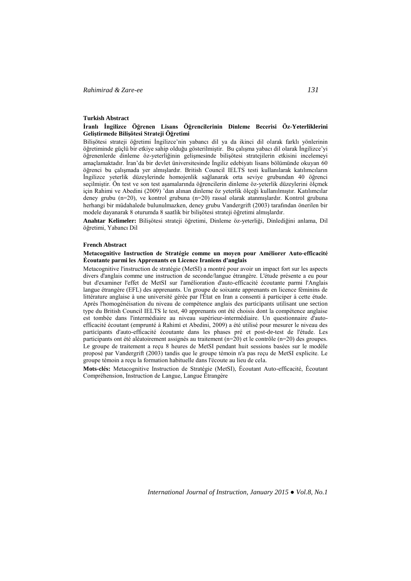### **Turkish Abstract**

### **İranlı İngilizce Öğrenen Lisans Öğrencilerinin Dinleme Becerisi Öz-Yeterliklerini Geliştirmede Bilişötesi Strateji Öğretimi**

Bilişötesi strateji öğretimi İngilizce'nin yabancı dil ya da ikinci dil olarak farklı yönlerinin öğretiminde güçlü bir etkiye sahip olduğu gösterilmiştir. Bu çalışma yabacı dil olarak İngilizce'yi öğrenenlerde dinleme öz-yeterliğinin gelişmesinde bilişötesi stratejilerin etkisini incelemeyi amaçlamaktadır. İran'da bir devlet üniversitesinde İngiliz edebiyatı lisans bölümünde okuyan 60 öğrenci bu çalışmada yer almışlardır. British Council IELTS testi kullanılarak katılımcıların İngilizce yeterlik düzeylerinde homojenlik sağlanarak orta seviye grubundan 40 öğrenci seçilmiştir. Ön test ve son test aşamalarında öğrencilerin dinleme öz-yeterlik düzeylerini ölçmek için Rahimi ve Abedini (2009) 'dan alınan dinleme öz yeterlik ölçeği kullanılmıştır. Katılımcılar deney grubu (n=20), ve kontrol grubuna (n=20) rassal olarak atanmışlardır. Kontrol grubuna herhangi bir müdahalede bulunulmazken, deney grubu Vandergrift (2003) tarafından önerilen bir modele dayanarak 8 oturumda 8 saatlik bir bilişötesi strateji öğretimi almışlardır.

**Anahtar Kelimeler:** Bilişötesi strateji öğretimi, Dinleme öz-yeterliği, Dinlediğini anlama, Dil öğretimi, Yabancı Dil

#### **French Abstract**

### **Metacognitive Instruction de Stratégie comme un moyen pour Améliorer Auto-efficacité Écoutante parmi les Apprenants en Licence Iraniens d'anglais**

Metacognitive l'instruction de stratégie (MetSI) a montré pour avoir un impact fort sur les aspects divers d'anglais comme une instruction de seconde/langue étrangère. L'étude présente a eu pour but d'examiner l'effet de MetSI sur l'amélioration d'auto-efficacité écoutante parmi l'Anglais langue étrangère (EFL) des apprenants. Un groupe de soixante apprenants en licence féminins de littérature anglaise à une université gérée par l'État en Iran a consenti à participer à cette étude. Après l'homogénéisation du niveau de compétence anglais des participants utilisant une section type du British Council IELTS le test, 40 apprenants ont été choisis dont la compétence anglaise est tombée dans l'intermédiaire au niveau supérieur-intermédiaire. Un questionnaire d'autoefficacité écoutant (emprunté à Rahimi et Abedini, 2009) a été utilisé pour mesurer le niveau des participants d'auto-efficacité écoutante dans les phases pré et post-de-test de l'étude. Les participants ont été aléatoirement assignés au traitement  $(n=20)$  et le contrôle  $(n=20)$  des groupes. Le groupe de traitement a reçu 8 heures de MetSI pendant huit sessions basées sur le modèle proposé par Vandergrift (2003) tandis que le groupe témoin n'a pas reçu de MetSI explicite. Le groupe témoin a reçu la formation habituelle dans l'écoute au lieu de cela.

**Mots-clés:** Metacognitive Instruction de Stratégie (MetSI), Écoutant Auto-efficacité, Écoutant Compréhension, Instruction de Langue, Langue Étrangère